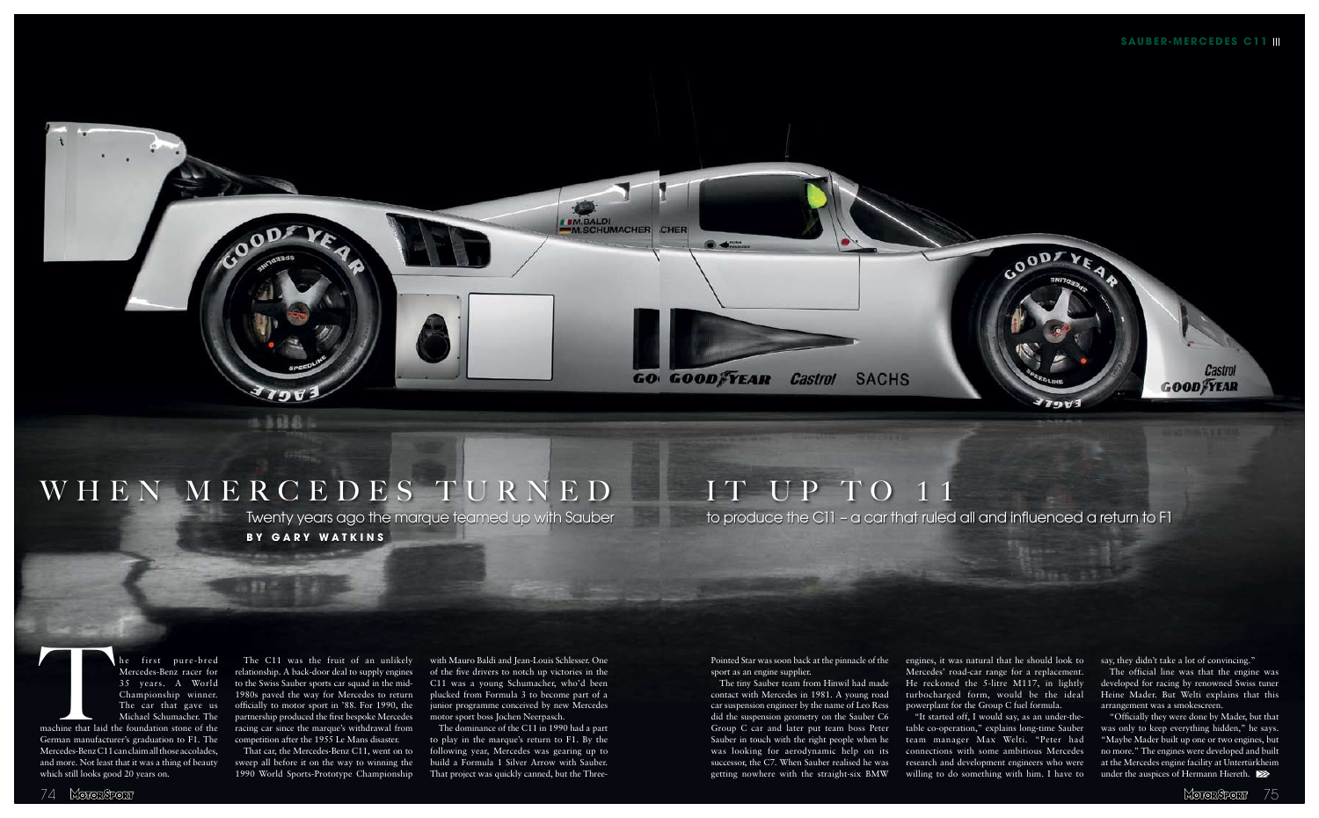

## WHEN MERCEDES TURNED IT UP TO 11

**by GARY WATKINS** 

Moror Sport 75

## Twenty years ago the marque teamed up with Sauber to produce the C11 - a car that ruled all and influenced a return to F1

The first pure-bred<br>Mercedes-Benz racer for<br>35 years. A World<br>Championship winner.<br>The car that gave us<br>Michael Schumacher. The<br>machine that laid the foundation stone of the<br>German manufacturer's graduation to F1. The<br>Merc Mercedes-Benz racer for 35 years. A World Championship winner. The car that gave us Michael Schumacher. The machine that laid the foundation stone of the German manufacturer's graduation to F1. The Mercedes-Benz C11 can claim all those accolades, and more. Not least that it was a thing of beauty

which still looks good 20 years on.

The C11 was the fruit of an unlikely relationship. A back-door deal to supply engines to the Swiss Sauber sports car squad in the mid-1980s paved the way for Mercedes to return officially to motor sport in '88. For 1990, the partnership produced the first bespoke Mercedes racing car since the marque's withdrawal from competition after the 1955 Le Mans disaster.

That car, the Mercedes-Benz C11, went on to sweep all before it on the way to winning the 1990 World Sports-Prototype Championship

with Mauro Baldi and Jean-Louis Schlesser. One of the five drivers to notch up victories in the C11 was a young Schumacher, who'd been plucked from Formula 3 to become part of a junior programme conceived by new Mercedes motor sport boss Jochen Neerpasch.

"Officially they were done by Mader, but that was only to keep everything hidden," he says. "Maybe Mader built up one or two engines, but no more." The engines were developed and built at the Mercedes engine facility at Untertürkheim under the auspices of Hermann Hiereth.  $\blacktriangleright$ 

The dominance of the C11 in 1990 had a part to play in the marque's return to F1. By the following year, Mercedes was gearing up to build a Formula 1 Silver Arrow with Sauber. That project was quickly canned, but the ThreePointed Star was soon back at the pinnacle of the sport as an engine supplier.

The tiny Sauber team from Hinwil had made contact with Mercedes in 1981. A young road car suspension engineer by the name of Leo Ress did the suspension geometry on the Sauber C6 Group C car and later put team boss Peter Sauber in touch with the right people when he was looking for aerodynamic help on its successor, the C7. When Sauber realised he was getting nowhere with the straight-six BMW

engines, it was natural that he should look to Mercedes' road-car range for a replacement. He reckoned the 5-litre M117, in lightly turbocharged form, would be the ideal powerplant for the Group C fuel formula.

"It started off, I would say, as an under-thetable co-operation," explains long-time Sauber team manager Max Welti. "Peter had connections with some ambitious Mercedes research and development engineers who were willing to do something with him. I have to say, they didn't take a lot of convincing."

The official line was that the engine was developed for racing by renowned Swiss tuner Heine Mader. But Welti explains that this arrangement was a smokescreen.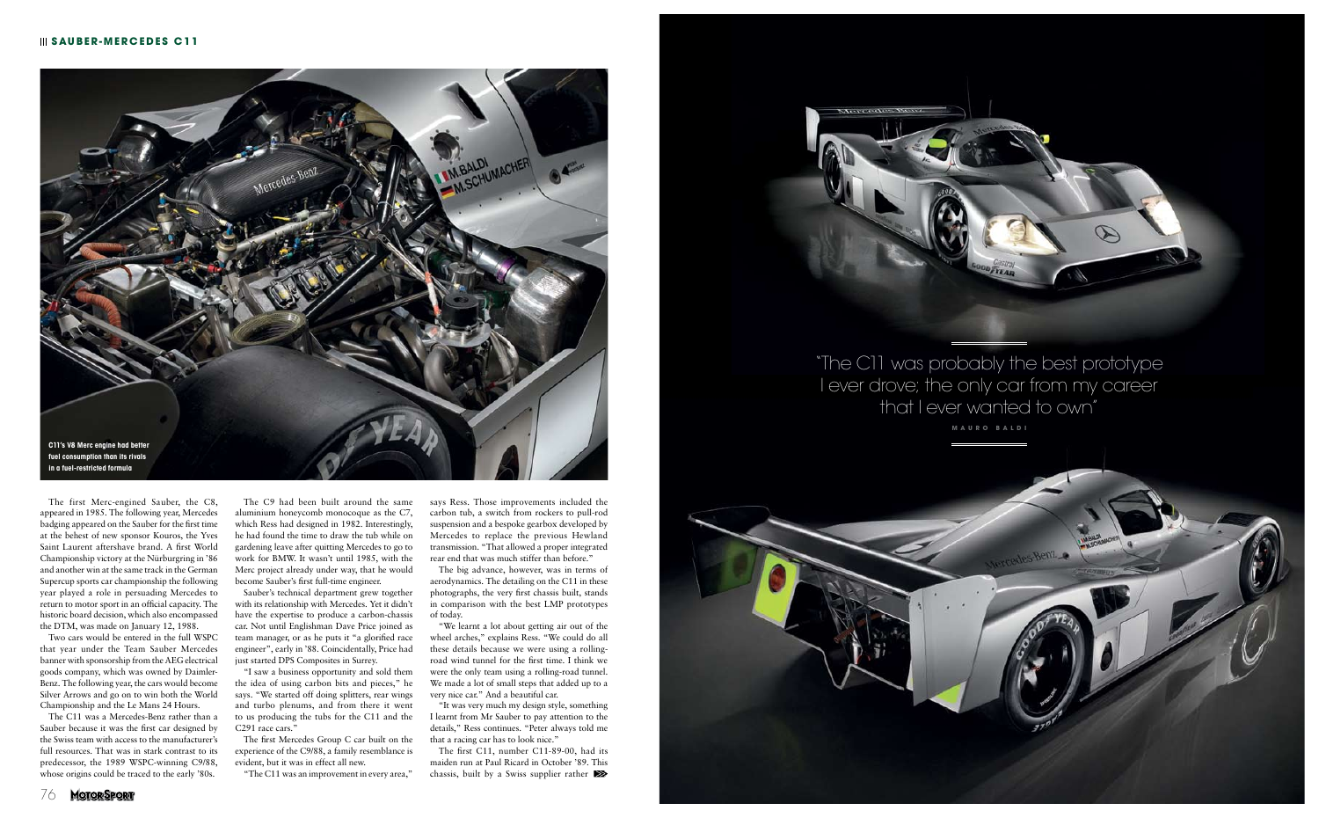

The first Merc-engined Sauber, the C8, appeared in 1985. The following year, Mercedes badging appeared on the Sauber for the first time at the behest of new sponsor Kouros, the Yves Saint Laurent aftershave brand. A first World Championship victory at the Nürburgring in '86 and another win at the same track in the German Supercup sports car championship the following year played a role in persuading Mercedes to return to motor sport in an official capacity. The historic board decision, which also encompassed the DTM, was made on January 12, 1988.

Two cars would be entered in the full WSPC that year under the Team Sauber Mercedes banner with sponsorship from the AEG electrical goods company, which was owned by Daimler-Benz. The following year, the cars would become Silver Arrows and go on to win both the World Championship and the Le Mans 24 Hours.

"I saw a business opportunity and sold them the idea of using carbon bits and pieces," he says. "We started off doing splitters, rear wings and turbo plenums, and from there it went to us producing the tubs for the C11 and the C<sub>291</sub> race cars."

The C11 was a Mercedes-Benz rather than a Sauber because it was the first car designed by the Swiss team with access to the manufacturer's full resources. That was in stark contrast to its predecessor, the 1989 WSPC-winning C9/88, whose origins could be traced to the early '80s.

The C9 had been built around the same aluminium honeycomb monocoque as the C7, which Ress had designed in 1982. Interestingly, he had found the time to draw the tub while on gardening leave after quitting Mercedes to go to work for BMW. It wasn't until 1985, with the Merc project already under way, that he would become Sauber's first full-time engineer.

> The first C11, number C11-89-00, had its maiden run at Paul Ricard in October '89. This chassis, built by a Swiss supplier rather  $\blacktriangleright$



Sauber's technical department grew together with its relationship with Mercedes. Yet it didn't have the expertise to produce a carbon-chassis car. Not until Englishman Dave Price joined as team manager, or as he puts it "a glorified race engineer", early in '88. Coincidentally, Price had just started DPS Composites in Surrey.

The first Mercedes Group C car built on the experience of the C9/88, a family resemblance is evident, but it was in effect all new.

"The C11 was an improvement in every area,"

says Ress. Those improvements included the carbon tub, a switch from rockers to pull-rod suspension and a bespoke gearbox developed by Mercedes to replace the previous Hewland transmission. "That allowed a proper integrated rear end that was much stiffer than before."

The big advance, however, was in terms of aerodynamics. The detailing on the C11 in these photographs, the very first chassis built, stands in comparison with the best LMP prototypes of today.

"We learnt a lot about getting air out of the wheel arches," explains Ress. "We could do all these details because we were using a rollingroad wind tunnel for the first time. I think we were the only team using a rolling-road tunnel. We made a lot of small steps that added up to a very nice car." And a beautiful car.

"It was very much my design style, something I learnt from Mr Sauber to pay attention to the details," Ress continues. "Peter always told me that a racing car has to look nice."



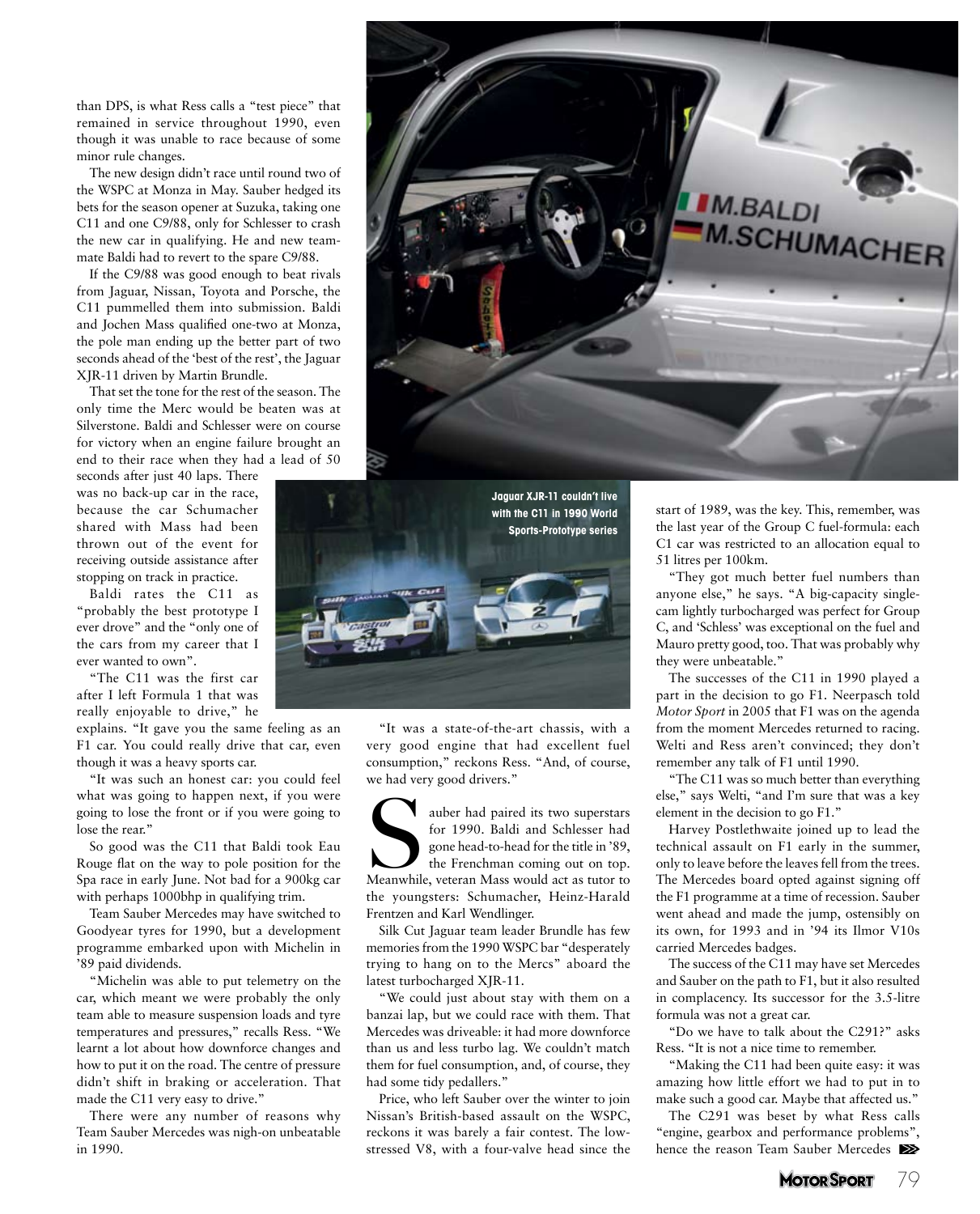than DPS, is what Ress calls a "test piece" that remained in service throughout 1990, even though it was unable to race because of some minor rule changes.

The new design didn't race until round two of the WSPC at Monza in May. Sauber hedged its bets for the season opener at Suzuka, taking one C11 and one C9/88, only for Schlesser to crash the new car in qualifying. He and new teammate Baldi had to revert to the spare C9/88.

If the C9/88 was good enough to beat rivals from Jaguar, Nissan, Toyota and Porsche, the C11 pummelled them into submission. Baldi and Jochen Mass qualified one-two at Monza, the pole man ending up the better part of two seconds ahead of the 'best of the rest', the Jaguar XJR-11 driven by Martin Brundle.

That set the tone for the rest of the season. The only time the Merc would be beaten was at Silverstone. Baldi and Schlesser were on course for victory when an engine failure brought an end to their race when they had a lead of 50

seconds after just 40 laps. There was no back-up car in the race, because the car Schumacher shared with Mass had been thrown out of the event for receiving outside assistance after stopping on track in practice.

Baldi rates the C11 as "probably the best prototype I ever drove" and the "only one of the cars from my career that I ever wanted to own".

"The C11 was the first car after I left Formula 1 that was really enjoyable to drive," he

explains. "It gave you the same feeling as an F1 car. You could really drive that car, even though it was a heavy sports car.

"It was such an honest car: you could feel what was going to happen next, if you were going to lose the front or if you were going to lose the rear."

So good was the C11 that Baldi took Eau Rouge flat on the way to pole position for the Spa race in early June. Not bad for a 900kg car with perhaps 1000bhp in qualifying trim.

Team Sauber Mercedes may have switched to Goodyear tyres for 1990, but a development programme embarked upon with Michelin in '89 paid dividends.

"Michelin was able to put telemetry on the car, which meant we were probably the only team able to measure suspension loads and tyre temperatures and pressures," recalls Ress. "We learnt a lot about how downforce changes and how to put it on the road. The centre of pressure didn't shift in braking or acceleration. That made the C11 very easy to drive."

There were any number of reasons why Team Sauber Mercedes was nigh-on unbeatable





"It was a state-of-the-art chassis, with a very good engine that had excellent fuel consumption," reckons Ress. "And, of course, we had very good drivers."

Sauber had paired its two superstars<br>
for 1990. Baldi and Schlesser had<br>
gone head-to-head for the title in '89,<br>
the Frenchman coming out on top.<br>
Meanwhile, veteran Mass would act as tutor to for 1990. Baldi and Schlesser had gone head-to-head for the title in '89, the Frenchman coming out on top. the youngsters: Schumacher, Heinz-Harald Frentzen and Karl Wendlinger.

Silk Cut Jaguar team leader Brundle has few memories from the 1990 WSPC bar "desperately trying to hang on to the Mercs" aboard the latest turbocharged XJR-11.

"We could just about stay with them on a banzai lap, but we could race with them. That Mercedes was driveable: it had more downforce than us and less turbo lag. We couldn't match them for fuel consumption, and, of course, they had some tidy pedallers."

Price, who left Sauber over the winter to join Nissan's British-based assault on the WSPC, reckons it was barely a fair contest. The lowin 1990.  $\blacksquare$  stressed V8, with a four-valve head since the hence the reason Team Sauber Mercedes  $\blacksquare$ 

start of 1989, was the key. This, remember, was the last year of the Group C fuel-formula: each C1 car was restricted to an allocation equal to 51 litres per 100km.

"They got much better fuel numbers than anyone else," he says. "A big-capacity singlecam lightly turbocharged was perfect for Group C, and 'Schless' was exceptional on the fuel and Mauro pretty good, too. That was probably why they were unbeatable."

The successes of the C11 in 1990 played a part in the decision to go F1. Neerpasch told *Motor Sport* in 2005 that F1 was on the agenda from the moment Mercedes returned to racing. Welti and Ress aren't convinced; they don't remember any talk of F1 until 1990.

"The C11 was so much better than everything else," says Welti, "and I'm sure that was a key element in the decision to go F1."

Harvey Postlethwaite joined up to lead the technical assault on F1 early in the summer, only to leave before the leaves fell from the trees. The Mercedes board opted against signing off the F1 programme at a time of recession. Sauber went ahead and made the jump, ostensibly on its own, for 1993 and in '94 its Ilmor V10s carried Mercedes badges.

The success of the C11 may have set Mercedes and Sauber on the path to F1, but it also resulted in complacency. Its successor for the 3.5-litre formula was not a great car.

"Do we have to talk about the C291?" asks Ress. "It is not a nice time to remember.

"Making the C11 had been quite easy: it was amazing how little effort we had to put in to make such a good car. Maybe that affected us."

The C291 was beset by what Ress calls "engine, gearbox and performance problems", hence the reason Team Sauber Mercedes